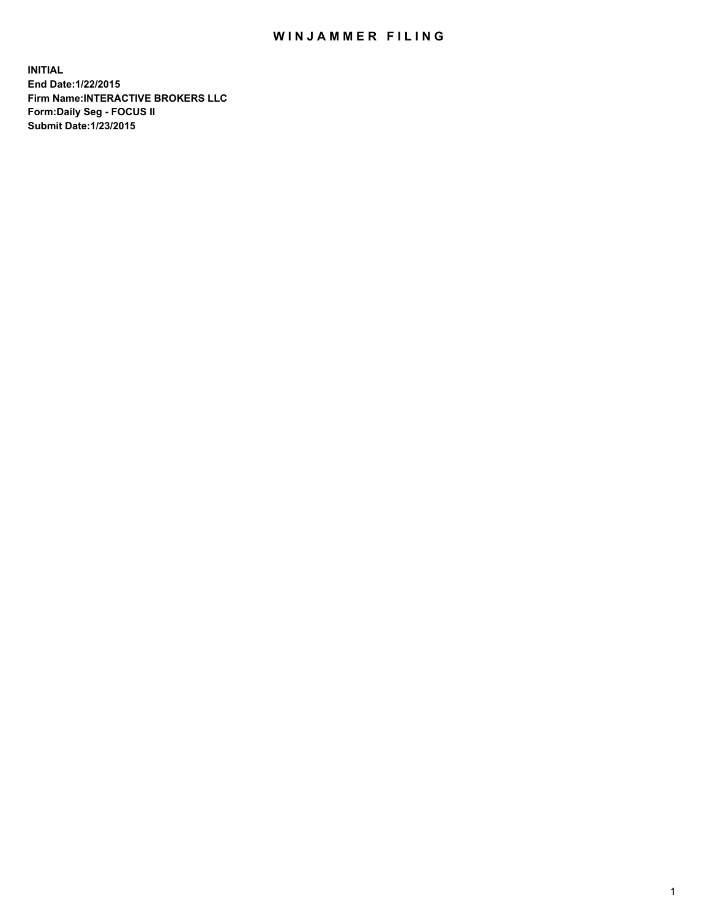## WIN JAMMER FILING

**INITIAL End Date:1/22/2015 Firm Name:INTERACTIVE BROKERS LLC Form:Daily Seg - FOCUS II Submit Date:1/23/2015**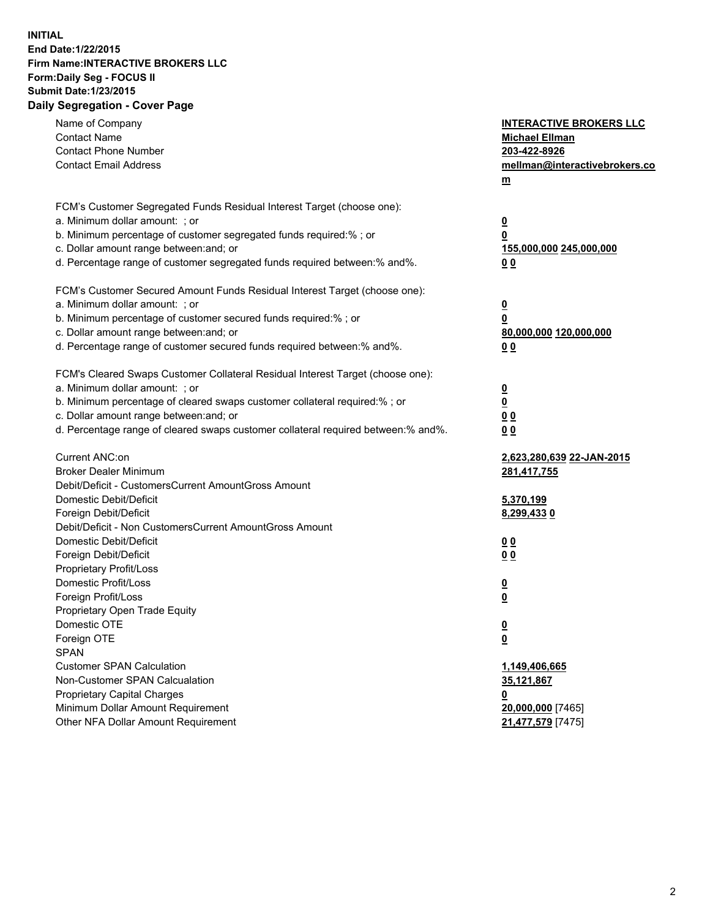## **INITIAL End Date:1/22/2015 Firm Name:INTERACTIVE BROKERS LLC Form:Daily Seg - FOCUS II Submit Date:1/23/2015 Daily Segregation - Cover Page**

| Name of Company<br><b>Contact Name</b><br><b>Contact Phone Number</b><br><b>Contact Email Address</b>                                                                                                                                                                                                                          | <b>INTERACTIVE BROKERS LLC</b><br><b>Michael Ellman</b><br>203-422-8926<br>mellman@interactivebrokers.co<br>$m$ |
|--------------------------------------------------------------------------------------------------------------------------------------------------------------------------------------------------------------------------------------------------------------------------------------------------------------------------------|-----------------------------------------------------------------------------------------------------------------|
| FCM's Customer Segregated Funds Residual Interest Target (choose one):<br>a. Minimum dollar amount: ; or<br>b. Minimum percentage of customer segregated funds required:% ; or<br>c. Dollar amount range between: and; or<br>d. Percentage range of customer segregated funds required between:% and%.                         | $\overline{\mathbf{0}}$<br>0<br>155,000,000 245,000,000<br>0 <sub>0</sub>                                       |
| FCM's Customer Secured Amount Funds Residual Interest Target (choose one):<br>a. Minimum dollar amount: ; or<br>b. Minimum percentage of customer secured funds required:% ; or<br>c. Dollar amount range between: and; or<br>d. Percentage range of customer secured funds required between:% and%.                           | $\overline{\mathbf{0}}$<br>0<br>80,000,000 120,000,000<br>0 <sub>0</sub>                                        |
| FCM's Cleared Swaps Customer Collateral Residual Interest Target (choose one):<br>a. Minimum dollar amount: ; or<br>b. Minimum percentage of cleared swaps customer collateral required:% ; or<br>c. Dollar amount range between: and; or<br>d. Percentage range of cleared swaps customer collateral required between:% and%. | $\overline{\mathbf{0}}$<br>$\underline{\mathbf{0}}$<br>0 <sub>0</sub><br>0 <sub>0</sub>                         |
| Current ANC:on<br><b>Broker Dealer Minimum</b><br>Debit/Deficit - CustomersCurrent AmountGross Amount<br>Domestic Debit/Deficit                                                                                                                                                                                                | 2,623,280,639 22-JAN-2015<br>281,417,755<br>5,370,199                                                           |
| Foreign Debit/Deficit<br>Debit/Deficit - Non CustomersCurrent AmountGross Amount<br>Domestic Debit/Deficit<br>Foreign Debit/Deficit<br>Proprietary Profit/Loss<br>Domestic Profit/Loss                                                                                                                                         | 8,299,4330<br>0 <sub>0</sub><br>0 <sub>0</sub><br>$\overline{\mathbf{0}}$                                       |
| Foreign Profit/Loss<br>Proprietary Open Trade Equity<br>Domestic OTE<br>Foreign OTE<br><b>SPAN</b><br><b>Customer SPAN Calculation</b>                                                                                                                                                                                         | $\overline{\mathbf{0}}$<br>$\underline{\mathbf{0}}$<br><u>0</u><br>1,149,406,665                                |
| Non-Customer SPAN Calcualation<br>Proprietary Capital Charges<br>Minimum Dollar Amount Requirement<br>Other NFA Dollar Amount Requirement                                                                                                                                                                                      | 35,121,867<br><u>0</u><br>20,000,000 [7465]<br>21,477,579 [7475]                                                |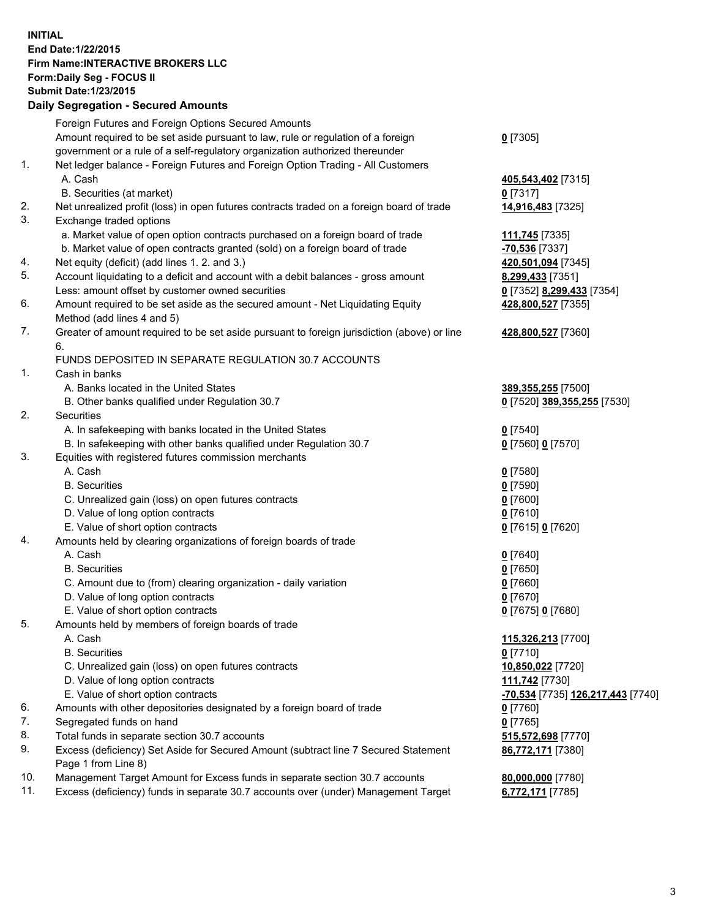## **INITIAL End Date:1/22/2015 Firm Name:INTERACTIVE BROKERS LLC Form:Daily Seg - FOCUS II Submit Date:1/23/2015 Daily Segregation - Secured Amounts**

| Dany Ocgregation - Oceanea Annoanta                                                         |                                   |
|---------------------------------------------------------------------------------------------|-----------------------------------|
| Foreign Futures and Foreign Options Secured Amounts                                         |                                   |
| Amount required to be set aside pursuant to law, rule or regulation of a foreign            | $0$ [7305]                        |
| government or a rule of a self-regulatory organization authorized thereunder                |                                   |
| Net ledger balance - Foreign Futures and Foreign Option Trading - All Customers             |                                   |
| A. Cash                                                                                     | 405,543,402 [7315]                |
| B. Securities (at market)                                                                   | $0$ [7317]                        |
| Net unrealized profit (loss) in open futures contracts traded on a foreign board of trade   | 14,916,483 [7325]                 |
| Exchange traded options                                                                     |                                   |
| a. Market value of open option contracts purchased on a foreign board of trade              | 111,745 [7335]                    |
| b. Market value of open contracts granted (sold) on a foreign board of trade                | <u>-70,536</u> [7337]             |
| Net equity (deficit) (add lines 1.2. and 3.)                                                | 420,501,094 [7345]                |
| Account liquidating to a deficit and account with a debit balances - gross amount           | 8,299,433 [7351]                  |
| Less: amount offset by customer owned securities                                            | 0 [7352] 8,299,433 [7354]         |
| Amount required to be set aside as the secured amount - Net Liquidating Equity              | 428,800,527 [7355]                |
| Method (add lines 4 and 5)                                                                  |                                   |
| Greater of amount required to be set aside pursuant to foreign jurisdiction (above) or line | 428,800,527 [7360]                |
| 6.                                                                                          |                                   |
| FUNDS DEPOSITED IN SEPARATE REGULATION 30.7 ACCOUNTS                                        |                                   |
| Cash in banks                                                                               |                                   |
| A. Banks located in the United States                                                       | 389, 355, 255 [7500]              |
| B. Other banks qualified under Regulation 30.7                                              | 0 [7520] 389,355,255 [7530]       |
| Securities                                                                                  |                                   |
| A. In safekeeping with banks located in the United States                                   | $0$ [7540]                        |
| B. In safekeeping with other banks qualified under Regulation 30.7                          | 0 [7560] 0 [7570]                 |
| Equities with registered futures commission merchants                                       |                                   |
| A. Cash                                                                                     | $0$ [7580]                        |
| <b>B.</b> Securities                                                                        | $0$ [7590]                        |
| C. Unrealized gain (loss) on open futures contracts                                         | $0$ [7600]                        |
| D. Value of long option contracts                                                           | $0$ [7610]                        |
| E. Value of short option contracts                                                          | 0 [7615] 0 [7620]                 |
| Amounts held by clearing organizations of foreign boards of trade                           |                                   |
| A. Cash                                                                                     | $0$ [7640]                        |
| <b>B.</b> Securities                                                                        | $0$ [7650]                        |
| C. Amount due to (from) clearing organization - daily variation                             | $0$ [7660]                        |
| D. Value of long option contracts                                                           | $0$ [7670]                        |
| E. Value of short option contracts                                                          | 0 [7675] 0 [7680]                 |
| Amounts held by members of foreign boards of trade                                          |                                   |
| A. Cash                                                                                     | 115,326,213 [7700]                |
| <b>B.</b> Securities                                                                        | $0$ [7710]                        |
| C. Unrealized gain (loss) on open futures contracts                                         | 10,850,022 [7720]                 |
| D. Value of long option contracts                                                           | 111,742 [7730]                    |
| E. Value of short option contracts                                                          | -70,534 [7735] 126,217,443 [7740] |
| Amounts with other depositories designated by a foreign board of trade                      | $0$ [7760]                        |
| Segregated funds on hand                                                                    | $0$ [7765]                        |
| Total funds in separate section 30.7 accounts                                               | 515,572,698 [7770]                |
| Excess (deficiency) Set Aside for Secured Amount (subtract line 7 Secured Statement         | 86,772,171 [7380]                 |
| Page 1 from Line 8)                                                                         |                                   |
| Management Target Amount for Excess funds in separate section 30.7 accounts                 | 80,000,000 [7780]                 |
| Excess (deficiency) funds in separate 30.7 accounts over (under) Management Target          | 6,772,171 [7785]                  |
|                                                                                             |                                   |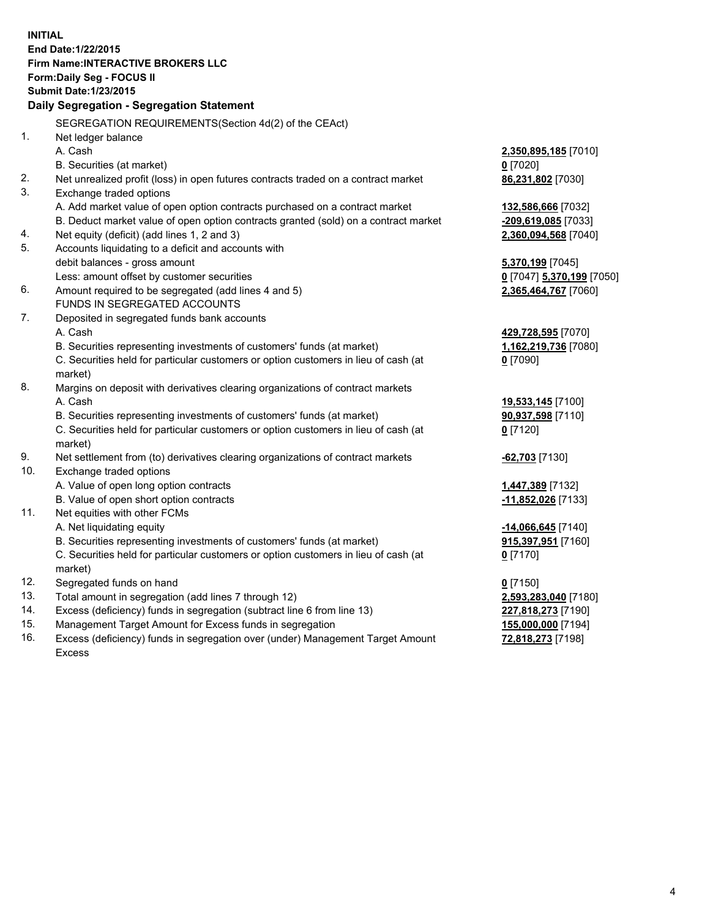**INITIAL End Date:1/22/2015 Firm Name:INTERACTIVE BROKERS LLC Form:Daily Seg - FOCUS II Submit Date:1/23/2015 Daily Segregation - Segregation Statement** SEGREGATION REQUIREMENTS(Section 4d(2) of the CEAct) 1. Net ledger balance A. Cash **2,350,895,185** [7010] B. Securities (at market) **0** [7020] 2. Net unrealized profit (loss) in open futures contracts traded on a contract market **86,231,802** [7030] 3. Exchange traded options A. Add market value of open option contracts purchased on a contract market **132,586,666** [7032] B. Deduct market value of open option contracts granted (sold) on a contract market **-209,619,085** [7033] 4. Net equity (deficit) (add lines 1, 2 and 3) **2,360,094,568** [7040] 5. Accounts liquidating to a deficit and accounts with debit balances - gross amount **5,370,199** [7045] Less: amount offset by customer securities **0** [7047] **5,370,199** [7050] 6. Amount required to be segregated (add lines 4 and 5) **2,365,464,767** [7060] FUNDS IN SEGREGATED ACCOUNTS 7. Deposited in segregated funds bank accounts A. Cash **429,728,595** [7070] B. Securities representing investments of customers' funds (at market) **1,162,219,736** [7080] C. Securities held for particular customers or option customers in lieu of cash (at market) **0** [7090] 8. Margins on deposit with derivatives clearing organizations of contract markets A. Cash **19,533,145** [7100] B. Securities representing investments of customers' funds (at market) **90,937,598** [7110] C. Securities held for particular customers or option customers in lieu of cash (at market) **0** [7120] 9. Net settlement from (to) derivatives clearing organizations of contract markets **-62,703** [7130] 10. Exchange traded options A. Value of open long option contracts **1,447,389** [7132] B. Value of open short option contracts **-11,852,026** [7133] 11. Net equities with other FCMs A. Net liquidating equity **-14,066,645** [7140] B. Securities representing investments of customers' funds (at market) **915,397,951** [7160] C. Securities held for particular customers or option customers in lieu of cash (at market) **0** [7170] 12. Segregated funds on hand **0** [7150] 13. Total amount in segregation (add lines 7 through 12) **2,593,283,040** [7180] 14. Excess (deficiency) funds in segregation (subtract line 6 from line 13) **227,818,273** [7190] 15. Management Target Amount for Excess funds in segregation **155,000,000** [7194] **72,818,273** [7198]

16. Excess (deficiency) funds in segregation over (under) Management Target Amount Excess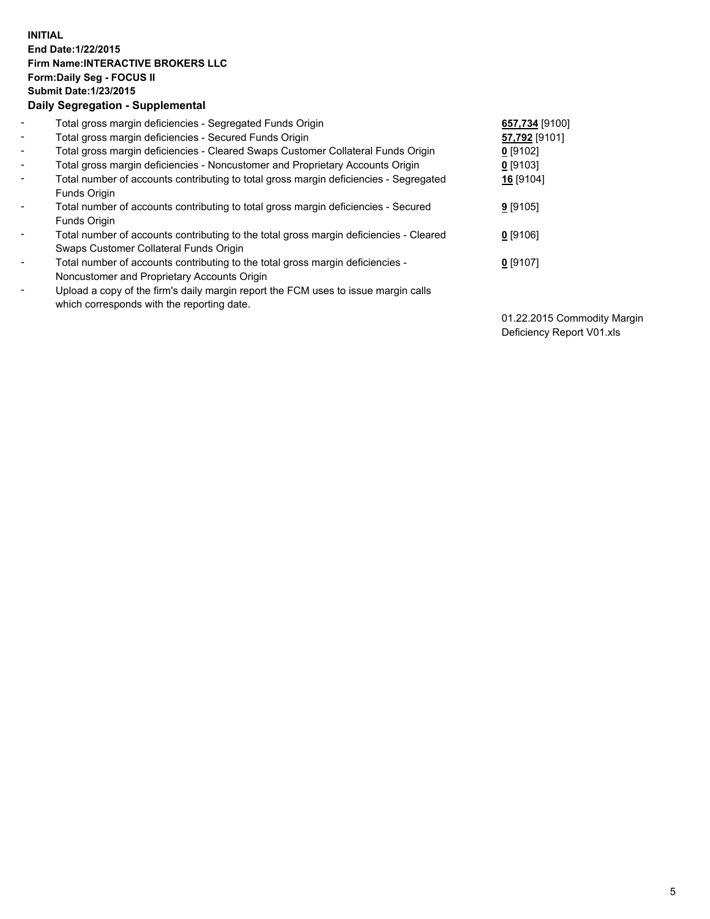## **INITIAL End Date:1/22/2015 Firm Name:INTERACTIVE BROKERS LLC Form:Daily Seg - FOCUS II Submit Date:1/23/2015 Daily Segregation - Supplemental**

| $\blacksquare$ | Total gross margin deficiencies - Segregated Funds Origin                              | 657,734 [9100] |  |
|----------------|----------------------------------------------------------------------------------------|----------------|--|
| $\blacksquare$ | Total gross margin deficiencies - Secured Funds Origin                                 | 57,792 [9101]  |  |
| $\blacksquare$ | Total gross margin deficiencies - Cleared Swaps Customer Collateral Funds Origin       | $0$ [9102]     |  |
| $\blacksquare$ | Total gross margin deficiencies - Noncustomer and Proprietary Accounts Origin          | $0$ [9103]     |  |
| $\blacksquare$ | Total number of accounts contributing to total gross margin deficiencies - Segregated  | 16 [9104]      |  |
|                | Funds Origin                                                                           |                |  |
| $\blacksquare$ | Total number of accounts contributing to total gross margin deficiencies - Secured     | $9$ [9105]     |  |
|                | Funds Origin                                                                           |                |  |
| ۰              | Total number of accounts contributing to the total gross margin deficiencies - Cleared | $0$ [9106]     |  |
|                | Swaps Customer Collateral Funds Origin                                                 |                |  |
| $\blacksquare$ | Total number of accounts contributing to the total gross margin deficiencies -         | $0$ [9107]     |  |
|                | Noncustomer and Proprietary Accounts Origin                                            |                |  |
| $\blacksquare$ | Upload a copy of the firm's daily margin report the FCM uses to issue margin calls     |                |  |
|                | which corresponds with the reporting date.                                             |                |  |

01.22.2015 Commodity Margin Deficiency Report V01.xls